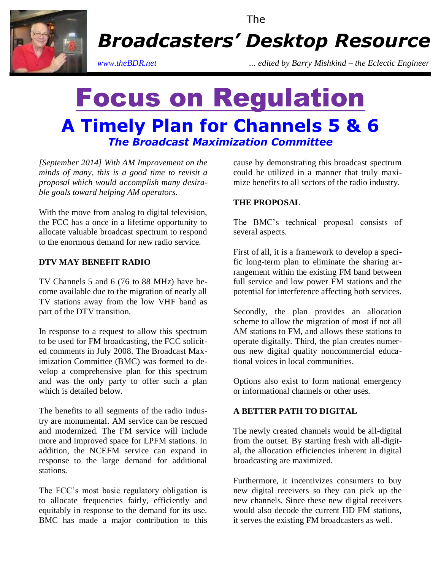

The

*Broadcasters' Desktop Resource*

*www.theBDR.net … edited by Barry Mishkind – the Eclectic Engineer*

# Focus on Regulation **A Timely Plan for Channels 5 & 6** *The Broadcast Maximization Committee*

*[September 2014] With AM Improvement on the minds of many, this is a good time to revisit a proposal which would accomplish many desirable goals toward helping AM operators.* 

With the move from analog to digital television, the FCC has a once in a lifetime opportunity to allocate valuable broadcast spectrum to respond to the enormous demand for new radio service.

## **DTV MAY BENEFIT RADIO**

TV Channels 5 and 6 (76 to 88 MHz) have become available due to the migration of nearly all TV stations away from the low VHF band as part of the DTV transition.

In response to a request to allow this spectrum to be used for FM broadcasting, the FCC solicited comments in July 2008. The Broadcast Maximization Committee (BMC) was formed to develop a comprehensive plan for this spectrum and was the only party to offer such a plan which is detailed below.

The benefits to all segments of the radio industry are monumental. AM service can be rescued and modernized. The FM service will include more and improved space for LPFM stations. In addition, the NCEFM service can expand in response to the large demand for additional stations.

The FCC's most basic regulatory obligation is to allocate frequencies fairly, efficiently and equitably in response to the demand for its use. BMC has made a major contribution to this cause by demonstrating this broadcast spectrum could be utilized in a manner that truly maximize benefits to all sectors of the radio industry.

## **THE PROPOSAL**

The BMC's technical proposal consists of several aspects.

First of all, it is a framework to develop a specific long-term plan to eliminate the sharing arrangement within the existing FM band between full service and low power FM stations and the potential for interference affecting both services.

Secondly, the plan provides an allocation scheme to allow the migration of most if not all AM stations to FM, and allows these stations to operate digitally. Third, the plan creates numerous new digital quality noncommercial educational voices in local communities.

Options also exist to form national emergency or informational channels or other uses.

## **A BETTER PATH TO DIGITAL**

The newly created channels would be all-digital from the outset. By starting fresh with all-digital, the allocation efficiencies inherent in digital broadcasting are maximized.

Furthermore, it incentivizes consumers to buy new digital receivers so they can pick up the new channels. Since these new digital receivers would also decode the current HD FM stations, it serves the existing FM broadcasters as well.